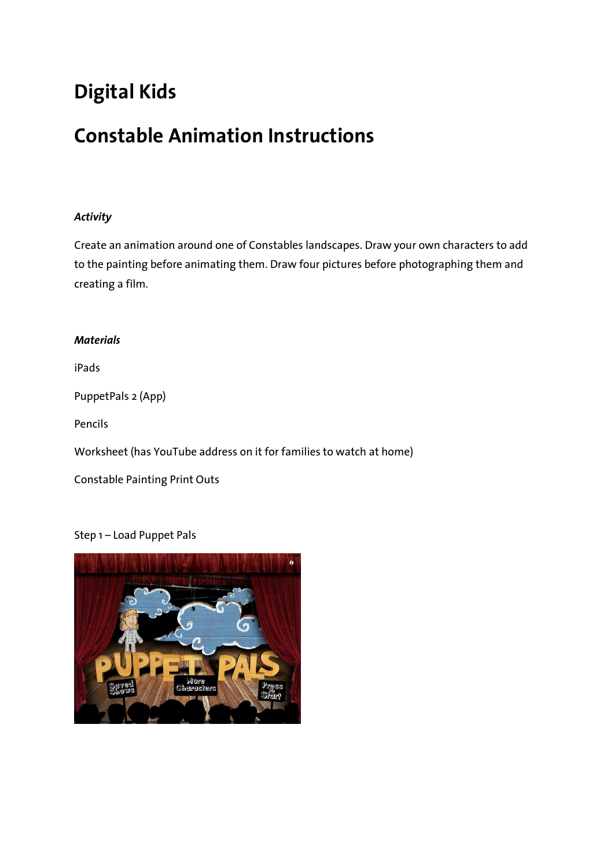# **Digital Kids**

# **Constable Animation Instructions**

## *Activity*

Create an animation around one of Constables landscapes. Draw your own characters to add to the painting before animating them. Draw four pictures before photographing them and creating a film.

### *Materials*

iPads

PuppetPals 2 (App)

Pencils

Worksheet (has YouTube address on it for families to watch at home)

Constable Painting Print Outs

### Step 1 – Load Puppet Pals

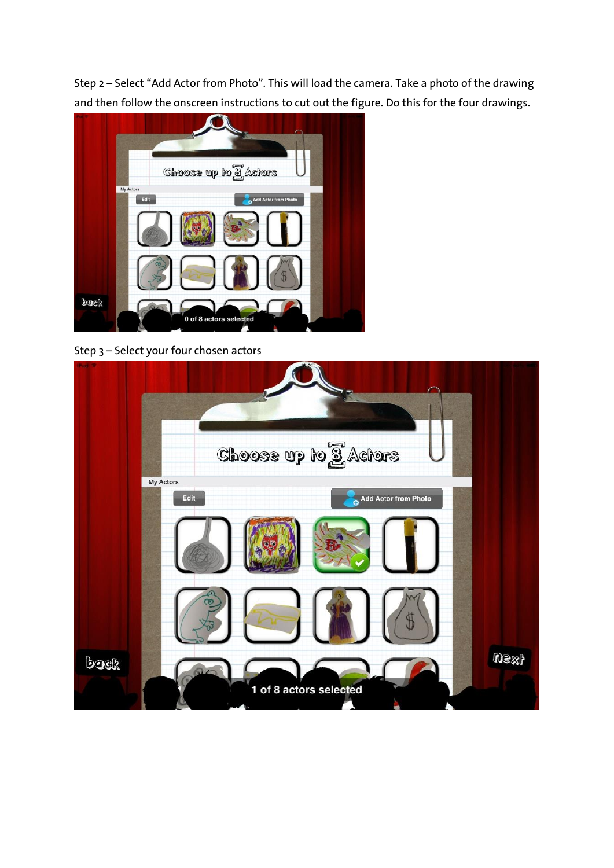Step 2 – Select "Add Actor from Photo". This will load the camera. Take a photo of the drawing and then follow the onscreen instructions to cut out the figure. Do this for the four drawings.



Step 3 – Select your four chosen actors

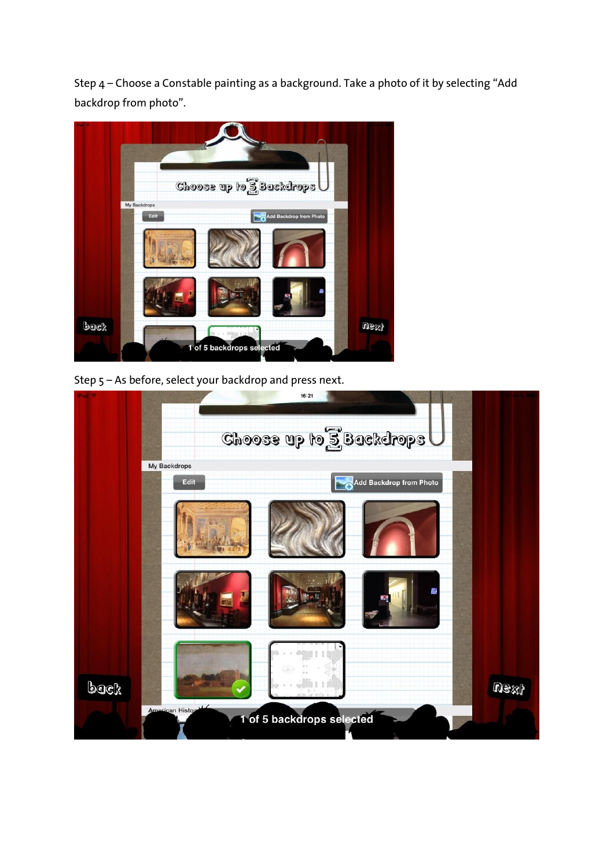Step 4 – Choose a Constable painting as a background. Take a photo of it by selecting "Add backdrop from photo".



Step 5 – As before, select your backdrop and press next.

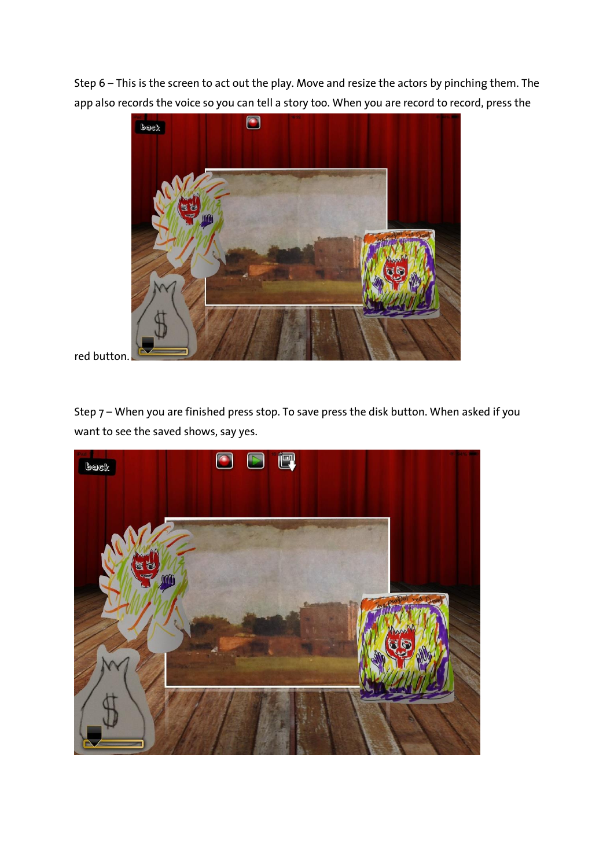Step 6 – This is the screen to act out the play. Move and resize the actors by pinching them. The app also records the voice so you can tell a story too. When you are record to record, press the



red button.

Step 7 – When you are finished press stop. To save press the disk button. When asked if you want to see the saved shows, say yes.

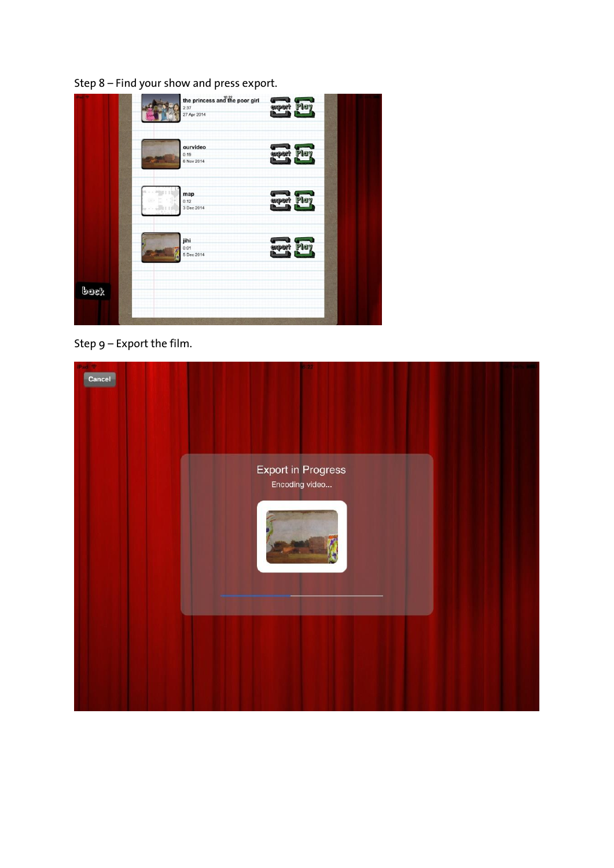

Step 9 – Export the film.